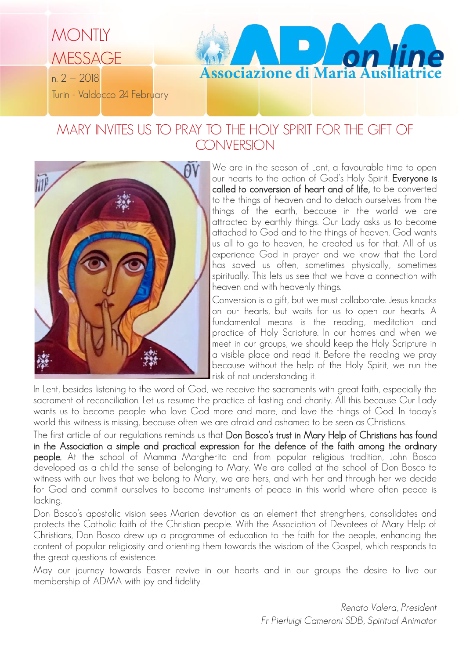

# MARY INVITES US TO PRAY TO THE HOLY SPIRIT FOR THE GIFT OF **CONVERSION**



We are in the season of Lent, a favourable time to open our hearts to the action of God's Holy Spirit. Everyone is called to conversion of heart and of life, to be converted to the things of heaven and to detach ourselves from the things of the earth, because in the world we are attracted by earthly things. Our Lady asks us to become attached to God and to the things of heaven. God wants us all to go to heaven, he created us for that. All of us experience God in prayer and we know that the Lord has saved us often, sometimes physically, sometimes spiritually. This lets us see that we have a connection with heaven and with heavenly things.

Conversion is a gift, but we must collaborate. Jesus knocks on our hearts, but waits for us to open our hearts. A fundamental means is the reading, meditation and practice of Holy Scripture. In our homes and when we meet in our groups, we should keep the Holy Scripture in a visible place and read it. Before the reading we pray because without the help of the Holy Spirit, we run the risk of not understanding it.

In Lent, besides listening to the word of God, we receive the sacraments with great faith, especially the sacrament of reconciliation. Let us resume the practice of fasting and charity. All this because Our Lady wants us to become people who love God more and more, and love the things of God. In today's world this witness is missing, because often we are afraid and ashamed to be seen as Christians.

The first article of our regulations reminds us that Don Bosco's trust in Mary Help of Christians has found in the Association a simple and practical expression for the defence of the faith among the ordinary people. At the school of Mamma Margherita and from popular religious tradition, John Bosco developed as a child the sense of belonging to Mary. We are called at the school of Don Bosco to witness with our lives that we belong to Mary, we are hers, and with her and through her we decide for God and commit ourselves to become instruments of peace in this world where often peace is lacking.

Don Bosco's apostolic vision sees Marian devotion as an element that strengthens, consolidates and protects the Catholic faith of the Christian people. With the Association of Devotees of Mary Help of Christians, Don Bosco drew up a programme of education to the faith for the people, enhancing the content of popular religiosity and orienting them towards the wisdom of the Gospel, which responds to the great questions of existence.

May our journey towards Easter revive in our hearts and in our groups the desire to live our membership of ADMA with joy and fidelity.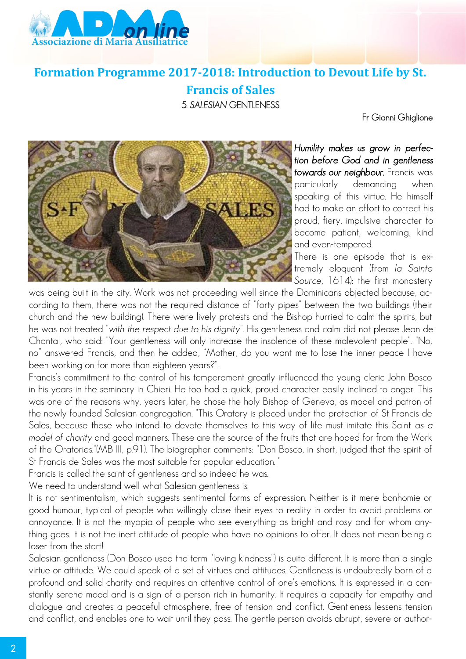

## **Formation Programme 2017-2018: Introduction to Devout Life by St.**

### **Francis of Sales** 5. *SALESIAN* GENTLENESS

Fr Gianni Ghiglione



*Humility makes us grow in perfection before God and in gentleness towards our neighbour.* Francis was particularly demanding when speaking of this virtue. He himself had to make an effort to correct his proud, fiery, impulsive character to become patient, welcoming, kind and even-tempered.

There is one episode that is extremely eloquent (from *la Sainte Source*, 1614): the first monastery

was being built in the city. Work was not proceeding well since the Dominicans objected because, according to them, there was not the required distance of "forty pipes" between the two buildings (their church and the new building). There were lively protests and the Bishop hurried to calm the spirits, but he was not treated "*with the respect due to his dignity*". His gentleness and calm did not please Jean de Chantal, who said: "Your gentleness will only increase the insolence of these malevolent people". "No, no" answered Francis, and then he added, "Mother, do you want me to lose the inner peace I have been working on for more than eighteen years?".

Francis's commitment to the control of his temperament greatly influenced the young cleric John Bosco in his years in the seminary in Chieri. He too had a quick, proud character easily inclined to anger. This was one of the reasons why, years later, he chose the holy Bishop of Geneva, as model and patron of the newly founded Salesian congregation. "This Oratory is placed under the protection of St Francis de Sales, because those who intend to devote themselves to this way of life must imitate this Saint *as a model of charity* and good manners. These are the source of the fruits that are hoped for from the Work of the Oratories."(MB III, p.91). The biographer comments: "Don Bosco, in short, judged that the spirit of St Francis de Sales was the most suitable for popular education. "

Francis is called the saint of gentleness and so indeed he was.

We need to understand well what Salesian gentleness is.

It is not sentimentalism, which suggests sentimental forms of expression. Neither is it mere bonhomie or good humour, typical of people who willingly close their eyes to reality in order to avoid problems or annoyance. It is not the myopia of people who see everything as bright and rosy and for whom anything goes. It is not the inert attitude of people who have no opinions to offer. It does not mean being a loser from the start!

Salesian gentleness (Don Bosco used the term "loving kindness") is quite different. It is more than a single virtue or attitude. We could speak of a set of virtues and attitudes. Gentleness is undoubtedly born of a profound and solid charity and requires an attentive control of one's emotions. It is expressed in a constantly serene mood and is a sign of a person rich in humanity. It requires a capacity for empathy and dialogue and creates a peaceful atmosphere, free of tension and conflict. Gentleness lessens tension and conflict, and enables one to wait until they pass. The gentle person avoids abrupt, severe or author-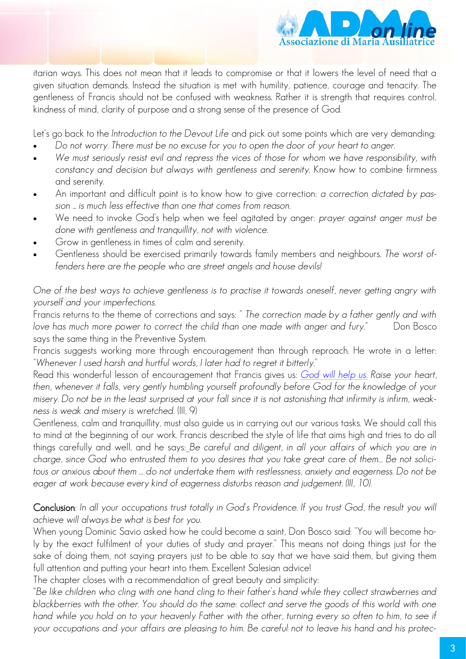

itarian ways. This does not mean that it leads to compromise or that it lowers the level of need that a given situation demands. Instead the situation is met with humility, patience, courage and tenacity. The gentleness of Francis should not be confused with weakness. Rather it is strength that requires control, kindness of mind, clarity of purpose and a strong sense of the presence of God.

Let's go back to the *Introduction to the Devout Life* and pick out some points which are very demanding:

- *Do not worry. There must be no excuse for you to open the door of your heart to anger.*
- *We must seriously resist evil and repress the vices of those for whom we have responsibility, with constancy and decision but always with gentleness and serenity.* Know how to combine firmness and serenity.
- An important and difficult point is to know how to give correction: *a correction dictated by passion ... is much less effective than one that comes from reason.*
- We need to invoke God's help when we feel agitated by anger: *prayer against anger must be done with gentleness and tranquillity, not with violence*.
- Grow in gentleness in times of calm and serenity.
- Gentleness should be exercised primarily towards family members and neighbours. *The worst offenders here are the people who are street angels and house devils!*

*One of the best ways to achieve gentleness is to practise it towards oneself, never getting angry with yourself and your imperfections.*

Francis returns to the theme of corrections and says: *" The correction made by a father gently and with love has much more power to correct the child than one made with anger and fury.*" Don Bosco says the same thing in the Preventive System.

Francis suggests working more through encouragement than through reproach. He wrote in a letter: "*Whenever I used harsh and hurtful words, I later had to regret it bitterly*."

Read this wonderful lesson of encouragement that Francis gives us: *God will help us. Raise your heart, then, whenever it falls, very gently humbling yourself profoundly before God for the knowledge of your misery. Do not be in the least surprised at your fall since it is not astonishing that infirmity is infirm, weakness is weak and misery is wretched.* (III, 9)

Gentleness, calm and tranquillity, must also guide us in carrying out our various tasks. We should call this to mind at the beginning of our work. Francis described the style of life that aims high and tries to do all things carefully and well, and he says: *Be careful and diligent, in all your affairs of which you are in charge, since God who entrusted them to you desires that you take great care of them… Be not solicitous or anxious about them … do not undertake them with restlessness, anxiety and eagerness. Do not be eager at work because every kind of eagerness disturbs reason and judgement. (III, 10).*

Conclusion: *In all your occupations trust totally in God's Providence. If you trust God, the result you will achieve will always be what is best for you.*

When young Dominic Savio asked how he could become a saint, Don Bosco said: "You will become holy by the exact fulfilment of your duties of study and prayer." This means not doing things just for the sake of doing them, not saying prayers just to be able to say that we have said them, but giving them full attention and putting your heart into them. Excellent Salesian advice!

The chapter closes with a recommendation of great beauty and simplicity:

*"Be like children who cling with one hand cling to their father's hand while they collect strawberries and blackberries with the other. You should do the same: collect and serve the goods of this world with one hand while you hold on to your heavenly Father with the other, turning every so often to him, to see if your occupations and your affairs are pleasing to him. Be careful not to leave his hand and his protec-*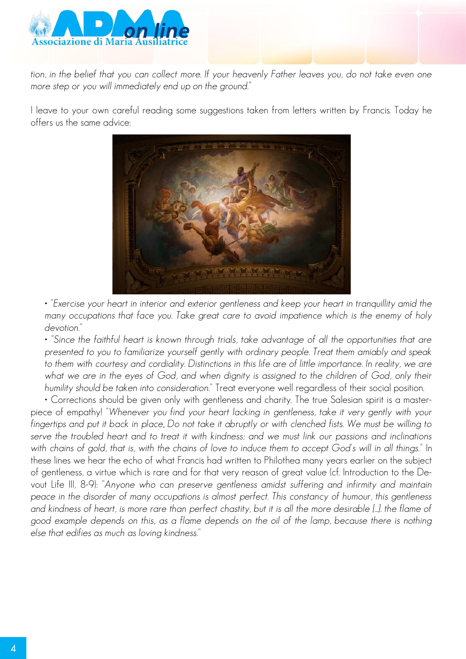

*tion, in the belief that you can collect more. If your heavenly Father leaves you, do not take even one more step or you will immediately end up on the ground."*

I leave to your own careful reading some suggestions taken from letters written by Francis. Today he offers us the same advice:



*• "Exercise your heart in interior and exterior gentleness and keep your heart in tranquillity amid the many occupations that face you. Take great care to avoid impatience which is the enemy of holy devotion."*

• "*Since the faithful heart is known through trials, take advantage of all the opportunities that are presented to you to familiarize yourself gently with ordinary people. Treat them amiably and speak to them with courtesy and cordiality. Distinctions in this life are of little importance. In reality, we are*  what we are in the eyes of God, and when dignity is assigned to the children of God, only their *humility should be taken into consideration*." Treat everyone well regardless of their social position.

• Corrections should be given only with gentleness and charity. The true Salesian spirit is a masterpiece of empathy! *"Whenever you find your heart lacking in gentleness, take it very gently with your fingertips and put it back in place. Do not take it abruptly or with clenched fists. We must be willing to serve the troubled heart and to treat it with kindness; and we must link our passions and inclinations with chains of gold, that is, with the chains of love to induce them to accept God's will in all things.*" In these lines we hear the echo of what Francis had written to Philothea many years earlier on the subject of gentleness, a virtue which is rare and for that very reason of great value (cf. Introduction to the Devout Life III, 8-9): "*Anyone who can preserve gentleness amidst suffering and infirmity and maintain peace in the disorder of many occupations is almost perfect. This constancy of humour, this gentleness and kindness of heart, is more rare than perfect chastity, but it is all the more desirable [...]. the flame of good example depends on this, as a flame depends on the oil of the lamp, because there is nothing else that edifies as much as loving kindness*."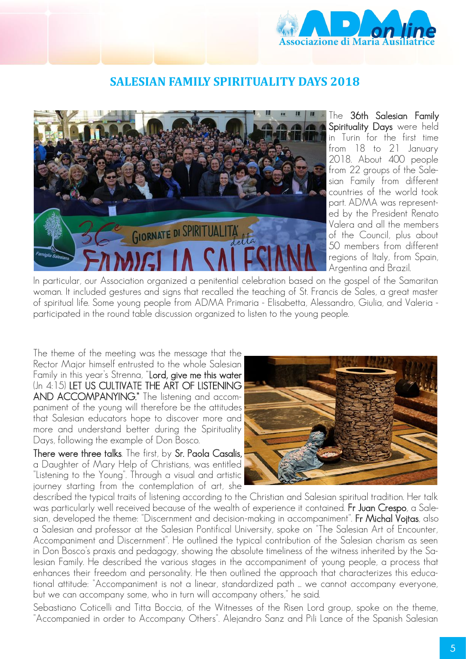

### **SALESIAN FAMILY SPIRITUALITY DAYS 2018**



The 36th Salesian Family Spirituality Days were held in Turin for the first time from 18 to 21 January 2018. About 400 people from 22 groups of the Salesian Family from different countries of the world took part. ADMA was represented by the President Renato Valera and all the members of the Council, plus about 50 members from different regions of Italy, from Spain, Argentina and Brazil.

In particular, our Association organized a penitential celebration based on the gospel of the Samaritan woman. It included gestures and signs that recalled the teaching of St. Francis de Sales, a great master of spiritual life. Some young people from ADMA Primaria - Elisabetta, Alessandro, Giulia, and Valeria participated in the round table discussion organized to listen to the young people.

The theme of the meeting was the message that the Rector Major himself entrusted to the whole Salesian Family in this year's Strenna, "Lord, give me this water (Jn 4:15) LET US CULTIVATE THE ART OF LISTENING AND ACCOMPANYING." The listening and accompaniment of the young will therefore be the attitudes that Salesian educators hope to discover more and more and understand better during the Spirituality Days, following the example of Don Bosco.

There were three talks. The first, by Sr. Paola Casalis, a Daughter of Mary Help of Christians, was entitled "Listening to the Young". Through a visual and artistic journey starting from the contemplation of art, she



described the typical traits of listening according to the Christian and Salesian spiritual tradition. Her talk was particularly well received because of the wealth of experience it contained. Fr Juan Crespo, a Salesian, developed the theme: "Discernment and decision-making in accompaniment". Fr Michal Vojtas, also a Salesian and professor at the Salesian Pontifical University, spoke on "The Salesian Art of Encounter, Accompaniment and Discernment". He outlined the typical contribution of the Salesian charism as seen in Don Bosco's praxis and pedagogy, showing the absolute timeliness of the witness inherited by the Salesian Family. He described the various stages in the accompaniment of young people, a process that enhances their freedom and personality. He then outlined the approach that characterizes this educational attitude: "Accompaniment is not a linear, standardized path ... we cannot accompany everyone, but we can accompany some, who in turn will accompany others," he said.

Sebastiano Coticelli and Titta Boccia, of the Witnesses of the Risen Lord group, spoke on the theme, "Accompanied in order to Accompany Others". Alejandro Sanz and Pili Lance of the Spanish Salesian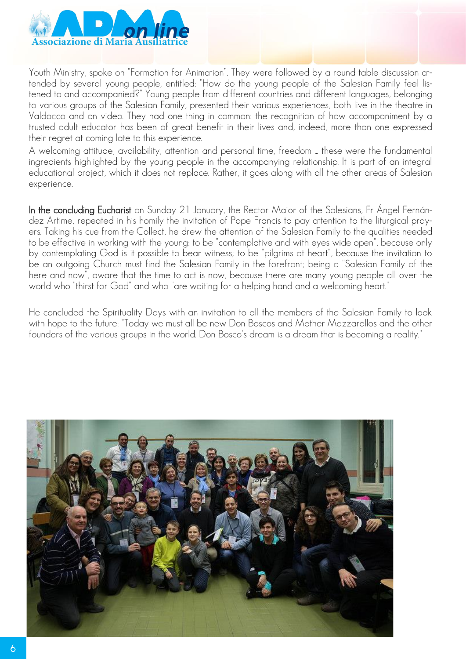

Youth Ministry, spoke on "Formation for Animation". They were followed by a round table discussion attended by several young people, entitled: "How do the young people of the Salesian Family feel listened to and accompanied?" Young people from different countries and different languages, belonging to various groups of the Salesian Family, presented their various experiences, both live in the theatre in Valdocco and on video. They had one thing in common: the recognition of how accompaniment by a trusted adult educator has been of great benefit in their lives and, indeed, more than one expressed their regret at coming late to this experience.

A welcoming attitude, availability, attention and personal time, freedom ... these were the fundamental ingredients highlighted by the young people in the accompanying relationship. It is part of an integral educational project, which it does not replace. Rather, it goes along with all the other areas of Salesian experience.

In the concluding Eucharist on Sunday 21 January, the Rector Major of the Salesians, Fr Ángel Fernández Artime, repeated in his homily the invitation of Pope Francis to pay attention to the liturgical prayers. Taking his cue from the Collect, he drew the attention of the Salesian Family to the qualities needed to be effective in working with the young: to be "contemplative and with eyes wide open", because only by contemplating God is it possible to bear witness; to be "pilgrims at heart", because the invitation to be an outgoing Church must find the Salesian Family in the forefront; being a "Salesian Family of the here and now", aware that the time to act is now, because there are many young people all over the world who "thirst for God" and who "are waiting for a helping hand and a welcoming heart."

He concluded the Spirituality Days with an invitation to all the members of the Salesian Family to look with hope to the future: "Today we must all be new Don Boscos and Mother Mazzarellos and the other founders of the various groups in the world. Don Bosco's dream is a dream that is becoming a reality."

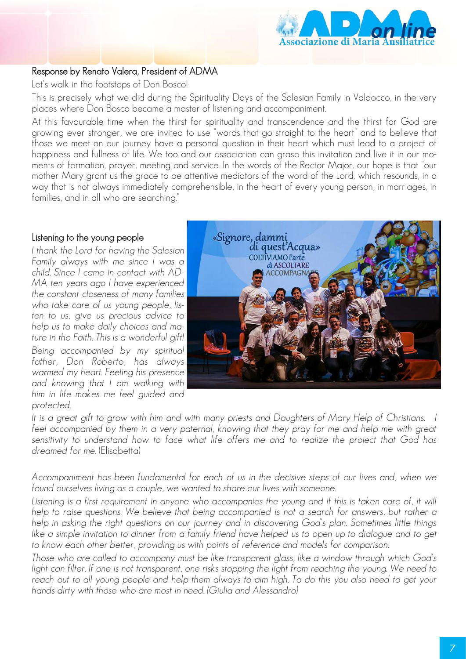

#### Response by Renato Valera, President of ADMA

Let's walk in the footsteps of Don Bosco!

This is precisely what we did during the Spirituality Days of the Salesian Family in Valdocco, in the very places where Don Bosco became a master of listening and accompaniment.

At this favourable time when the thirst for spirituality and transcendence and the thirst for God are growing ever stronger, we are invited to use "words that go straight to the heart" and to believe that those we meet on our journey have a personal question in their heart which must lead to a project of happiness and fullness of life. We too and our association can grasp this invitation and live it in our moments of formation, prayer, meeting and service. In the words of the Rector Major, our hope is that "our mother Mary grant us the grace to be attentive mediators of the word of the Lord, which resounds, in a way that is not always immediately comprehensible, in the heart of every young person, in marriages, in families, and in all who are searching."

#### Listening to the young people

*I thank the Lord for having the Salesian Family always with me since I was a child. Since I came in contact with AD-MA ten years ago I have experienced the constant closeness of many families who take care of us young people, listen to us, give us precious advice to help us to make daily choices and mature in the Faith. This is a wonderful gift! Being accompanied by my spiritual father, Don Roberto, has always warmed my heart. Feeling his presence and knowing that I am walking with him in life makes me feel guided and protected.*



It is a great gift to grow with him and with many priests and Daughters of Mary Help of Christians. I feel accompanied by them in a very paternal, knowing that they pray for me and help me with great *sensitivity to understand how to face what life offers me and to realize the project that God has dreamed for me.* (Elisabetta)

*Accompaniment has been fundamental for each of us in the decisive steps of our lives and, when we found ourselves living as a couple, we wanted to share our lives with someone.*

Listening is a first requirement in anyone who accompanies the young and if this is taken care of, it will *help to raise questions. We believe that being accompanied is not a search for answers, but rather a help in asking the right questions on our journey and in discovering God's plan. Sometimes little things*  like a simple invitation to dinner from a family friend have helped us to open up to dialogue and to get *to know each other better, providing us with points of reference and models for comparison.*

*Those who are called to accompany must be like transparent glass, like a window through which God's*  light can filter. If one is not transparent, one risks stopping the light from reaching the young. We need to *reach out to all young people and help them always to aim high. To do this you also need to get your hands dirty with those who are most in need. (Giulia and Alessandro)*